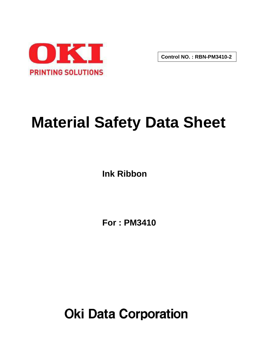

**Control NO. : RBN-PM3410-2**

# **Material Safety Data Sheet**

**Ink Ribbon**

**For : PM3410**

**Oki Data Corporation**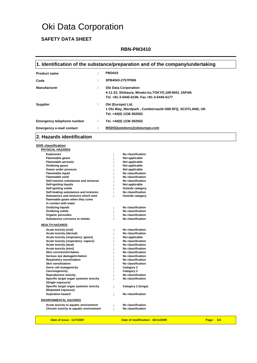# Oki Data Corporation

## **SAFETY DATA SHEET**

#### **RBN-PM3410**

#### **1. Identification of the substance/preparation and of the company/undertaking**

| <b>Product name</b>             | ÷ | <b>PM3410</b>                                                                                                                   |
|---------------------------------|---|---------------------------------------------------------------------------------------------------------------------------------|
| Code                            | ٠ | 3PB4043-2757P006                                                                                                                |
| Manufacturer                    | ÷ | <b>Oki Data Corporation</b><br>4-11-22, Shibaura, Minato-ku, TOKYO, 108-8551 JAPAN<br>Tel. +81-3-5445-6106. Fax +81-3-5445-6177 |
| <b>Supplier</b>                 | ÷ | Oki (Europe) Ltd.<br>1 Oki Way, Wardpark, Cumbernauld G68 0FQ, SCOTLAND, UK<br>Tel. +44(0) 1236 502502                          |
| Emergency telephone number      | ÷ | Tel. +44(0) 1236 502502                                                                                                         |
| <b>Emergency e-mail contact</b> | ÷ | MSDSQuestions@okieurope.com                                                                                                     |

#### **2. Hazards identification**

**GHS classification PHYSICAL HAZARDS**

| <b>Explosives</b><br><b>Flammable gases</b><br><b>Flammable aerosols</b><br><b>Oxidizing gases</b><br><b>Gases under pressure</b><br><b>Flammable liquid</b><br>Flammable solid<br>Self-reactive substances and mixtures<br>Self-igniting liquids<br>Self-igniting solids<br>Self-heating substances and mixtures<br>Substances and mixtures which emit<br>flammable gases when they come<br>in contact with water |   | No classification<br>Not applicable<br>Not applicable<br>Not applicable<br>Not applicable<br>No classification<br>No classification<br>No classification<br>Not applicable<br>Outside category<br>No classification<br>Outside category |
|--------------------------------------------------------------------------------------------------------------------------------------------------------------------------------------------------------------------------------------------------------------------------------------------------------------------------------------------------------------------------------------------------------------------|---|-----------------------------------------------------------------------------------------------------------------------------------------------------------------------------------------------------------------------------------------|
| Oxidizing liquids                                                                                                                                                                                                                                                                                                                                                                                                  |   | No classification                                                                                                                                                                                                                       |
| <b>Oxidizing solids</b>                                                                                                                                                                                                                                                                                                                                                                                            |   | No classification                                                                                                                                                                                                                       |
| Organic peroxides                                                                                                                                                                                                                                                                                                                                                                                                  |   | No classification                                                                                                                                                                                                                       |
| Substances corrosive to metals                                                                                                                                                                                                                                                                                                                                                                                     |   | No classification                                                                                                                                                                                                                       |
| <b>HEALTH HAZARDS</b>                                                                                                                                                                                                                                                                                                                                                                                              |   |                                                                                                                                                                                                                                         |
| Acute toxicity (oral)                                                                                                                                                                                                                                                                                                                                                                                              |   | No classification                                                                                                                                                                                                                       |
| Acute toxicity (dermal)                                                                                                                                                                                                                                                                                                                                                                                            |   | No classification                                                                                                                                                                                                                       |
| Acute toxicity (respiratory: gases)                                                                                                                                                                                                                                                                                                                                                                                |   | Not applicable                                                                                                                                                                                                                          |
| Acute toxicity (respiratory: vapors)                                                                                                                                                                                                                                                                                                                                                                               |   | No classification                                                                                                                                                                                                                       |
| Acute toxicity (dust)                                                                                                                                                                                                                                                                                                                                                                                              |   | No classification                                                                                                                                                                                                                       |
| <b>Acute toxicity (mist)</b>                                                                                                                                                                                                                                                                                                                                                                                       |   | No classification                                                                                                                                                                                                                       |
| Skin corrosion/irritation                                                                                                                                                                                                                                                                                                                                                                                          |   | No classification                                                                                                                                                                                                                       |
| Serious eye damage/irritation                                                                                                                                                                                                                                                                                                                                                                                      |   | No classification                                                                                                                                                                                                                       |
| <b>Respiratory sensitization</b>                                                                                                                                                                                                                                                                                                                                                                                   |   | No classification                                                                                                                                                                                                                       |
| <b>Skin sensitization</b>                                                                                                                                                                                                                                                                                                                                                                                          |   | <b>No classification</b>                                                                                                                                                                                                                |
| Germ cell mutagenicity                                                                                                                                                                                                                                                                                                                                                                                             |   | Category 2                                                                                                                                                                                                                              |
| Carcinogenicity                                                                                                                                                                                                                                                                                                                                                                                                    |   | Category 2                                                                                                                                                                                                                              |
| <b>Reproductive toxicity</b>                                                                                                                                                                                                                                                                                                                                                                                       |   | No classification                                                                                                                                                                                                                       |
| Specific target organ systemic toxicity                                                                                                                                                                                                                                                                                                                                                                            |   | No classification                                                                                                                                                                                                                       |
| (Single exposure)                                                                                                                                                                                                                                                                                                                                                                                                  |   |                                                                                                                                                                                                                                         |
| Specific target organ systemic toxicity<br>(Repeated exposure)                                                                                                                                                                                                                                                                                                                                                     | ÷ | Category 2 (lungs)                                                                                                                                                                                                                      |
| <b>Aspiration hazard</b>                                                                                                                                                                                                                                                                                                                                                                                           |   | No classification                                                                                                                                                                                                                       |
| <b>ENVIRONMENTAL HAZARDS</b>                                                                                                                                                                                                                                                                                                                                                                                       |   |                                                                                                                                                                                                                                         |
| Acute toxicity to aquatic environment                                                                                                                                                                                                                                                                                                                                                                              |   | No classification                                                                                                                                                                                                                       |
| Chronic toxicity to aquatic environment                                                                                                                                                                                                                                                                                                                                                                            |   | No classification                                                                                                                                                                                                                       |
|                                                                                                                                                                                                                                                                                                                                                                                                                    |   |                                                                                                                                                                                                                                         |

**Date of issue : 11/7/2007 Date of modification : 16/11/2009 Page : 1/4**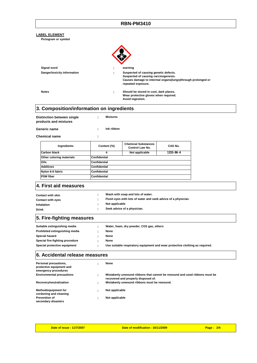#### **RBN-PM3410**

|              | <b>LABEL ELEMENT</b><br>Pictogram or symbol                               |                      |                                                                                                                                                                    |           |  |  |
|--------------|---------------------------------------------------------------------------|----------------------|--------------------------------------------------------------------------------------------------------------------------------------------------------------------|-----------|--|--|
|              |                                                                           |                      |                                                                                                                                                                    |           |  |  |
|              | Signal word                                                               |                      | warning                                                                                                                                                            |           |  |  |
|              | Danger/toxicity information                                               |                      | Suspected of causing genetic defects.<br>Suspected of causing carcinogenesis.<br>Causes damage to intermal organs(lungs)through prolonged or<br>repeated exposure. |           |  |  |
|              | <b>Notes</b>                                                              | ÷                    | Should be stored in cool, dark places.<br>Wear protective gloves when required.<br>Avoid ingestion.                                                                |           |  |  |
|              | 3. Composition/information on ingredients                                 |                      |                                                                                                                                                                    |           |  |  |
|              | <b>Distinction between single</b><br>products and mixtures                | <b>Mixtures</b><br>÷ |                                                                                                                                                                    |           |  |  |
|              | Generic name                                                              | Ink ribbon<br>÷      |                                                                                                                                                                    |           |  |  |
|              | <b>Chemical name</b>                                                      | ÷                    |                                                                                                                                                                    |           |  |  |
|              | Ingredients                                                               | Content (%)          | <b>Chemical Substances</b><br><b>Control Law No.</b>                                                                                                               | CAS No.   |  |  |
|              | <b>Carbon black</b>                                                       | 4                    | Not applicable                                                                                                                                                     | 1333 86 4 |  |  |
|              | Other coloring materials                                                  | Confidential         |                                                                                                                                                                    |           |  |  |
|              | Oils                                                                      | Confidential         |                                                                                                                                                                    |           |  |  |
|              | <b>Additives</b>                                                          | Confidential         |                                                                                                                                                                    |           |  |  |
|              | Nylon 6-6 fabric                                                          | Confidential         |                                                                                                                                                                    |           |  |  |
|              | <b>PSM</b> fiber                                                          | <b>Confidential</b>  |                                                                                                                                                                    |           |  |  |
|              | 4. First aid measures                                                     |                      |                                                                                                                                                                    |           |  |  |
|              | <b>Contact with skin</b>                                                  |                      | Wash with soap and lots of water.                                                                                                                                  |           |  |  |
|              | <b>Contact with eyes</b>                                                  | ÷                    | Flush eyes with lots of water and seek advice of a physician.                                                                                                      |           |  |  |
|              | Inhalation                                                                | Not applicable       |                                                                                                                                                                    |           |  |  |
| <b>Drink</b> |                                                                           | ÷                    | Seek advice of a physician.                                                                                                                                        |           |  |  |
|              | 5. Fire-fighting measures                                                 |                      |                                                                                                                                                                    |           |  |  |
|              | Suitable extinguishing media                                              | ÷                    | Water, foam, dry powder, CO2 gas, others                                                                                                                           |           |  |  |
|              | Prohibited extinguishing media                                            | None<br>÷            |                                                                                                                                                                    |           |  |  |
|              | <b>Special hazard</b>                                                     | None                 |                                                                                                                                                                    |           |  |  |
|              | Special fire-fighting procedure                                           | None                 |                                                                                                                                                                    |           |  |  |
|              | Special protective equipment                                              | ٠                    | Use suitable respiratory equipment and wear protective clothing as required.                                                                                       |           |  |  |
|              | 6. Accidental release measures                                            |                      |                                                                                                                                                                    |           |  |  |
|              | Personal precautions,<br>protective equipment and<br>emergency procedures | None<br>÷            |                                                                                                                                                                    |           |  |  |
|              | <b>Environmental precautions</b>                                          | ÷                    | Mistakenly unwound ribbons that cannot be rewound and used ribbons must be<br>recovered and properly disposed of.                                                  |           |  |  |
|              | Recovery/neutralization                                                   | ÷                    | Mistakenly unwound ribbons must be rewound.                                                                                                                        |           |  |  |
|              | <b>Method/equipment for</b><br>cordoning and cleaning                     | Not applicable<br>÷  |                                                                                                                                                                    |           |  |  |
|              | <b>Prevention of</b>                                                      | Not applicable<br>t  |                                                                                                                                                                    |           |  |  |
|              | secondary disasters                                                       |                      |                                                                                                                                                                    |           |  |  |
|              |                                                                           |                      |                                                                                                                                                                    |           |  |  |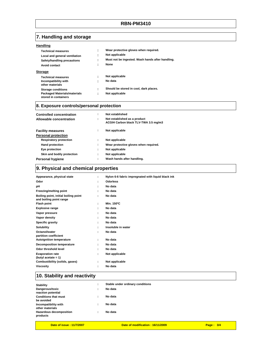### **7. Handling and storage**

| Handling                                                    |   |                                                  |
|-------------------------------------------------------------|---|--------------------------------------------------|
| <b>Technical measures</b>                                   | ٠ | Wear protective gloves when required.            |
| Local and general ventilation                               | ٠ | Not applicable                                   |
| Safety/handling precautions                                 | ٠ | Must not be ingested. Wash hands after handling. |
| Avoid contact                                               | ٠ | None                                             |
| <b>Storage</b>                                              |   |                                                  |
| <b>Technical measures</b>                                   | ÷ | Not applicable                                   |
| Incompatibility with<br>other materials                     | ٠ | No data                                          |
| <b>Storage conditions</b>                                   | ÷ | Should be stored in cool, dark places.           |
| <b>Packaged Materials/materials</b><br>stored in containers | ٠ | Not applicable                                   |

#### **8. Exposure controls/personal protection**

| <b>Controlled concentration</b><br>Allowable concentration | ٠<br>÷ | Not established<br>Not established as a product<br>ACGIH Carbon black TLV-TWA 3.5 mg/m3 |
|------------------------------------------------------------|--------|-----------------------------------------------------------------------------------------|
| <b>Facility measures</b><br><b>Personal protection</b>     | ÷      | Not applicable                                                                          |
| <b>Respiratory protection</b>                              | ÷      | Not applicable                                                                          |
| <b>Hand protection</b>                                     | ÷      | Wear protective gloves when required.                                                   |
| Eye protection                                             | ÷      | Not applicable                                                                          |
| Skin and bodily protection                                 | ÷      | Not applicable                                                                          |
| <b>Personal hygiene</b>                                    | ÷      | Wash hands after handling.                                                              |

# **9. Physical and chemical properties**

| Appearance, physical state                                      | ÷ | Nylon 6-6 fabric impregnated with liquid black ink |
|-----------------------------------------------------------------|---|----------------------------------------------------|
| Odor                                                            |   | <b>Odorless</b>                                    |
| pН                                                              |   | No data                                            |
| Freezing/melting point                                          |   | No data                                            |
| Boiling point, initial boiling point<br>and boiling point range | ÷ | No data                                            |
| Flash point                                                     | ÷ | Min. 150°C                                         |
| <b>Explosive range</b>                                          |   | No data                                            |
| Vapor pressure                                                  | ٠ | No data                                            |
| Vapor density                                                   | ÷ | No data                                            |
| <b>Specific gravity</b>                                         |   | No data                                            |
| Solubility                                                      | ÷ | Insoluble in water                                 |
| Octanol/water<br>partition coefficient                          | ÷ | No data                                            |
| <b>Autoignition temperature</b>                                 | ÷ | No data                                            |
| <b>Decomposition temperature</b>                                |   | No data                                            |
| Odor threshold level                                            |   | No data                                            |
| <b>Evaporation rate</b><br>(butyl acetate = 1)                  | ÷ | Not applicable                                     |
| Combustibility (solids, gases)                                  | ÷ | Not applicable                                     |
| Viscosity                                                       |   | No data                                            |
|                                                                 |   |                                                    |

# **10. Stability and reactivity**

| <b>Stability</b>                           | ٠         | Stable under ordinary conditions |
|--------------------------------------------|-----------|----------------------------------|
| Dangerous/toxic<br>reaction potential      |           | No data                          |
| <b>Conditions that must</b><br>be avoided  | $\bullet$ | No data                          |
| Incompatibility with<br>other materials    |           | No data                          |
| <b>Hazardous decomposition</b><br>products |           | No data                          |
|                                            |           |                                  |

**Date of issue : 11/7/2007 Date of modification : 16/11/2009 Page : 3/4**